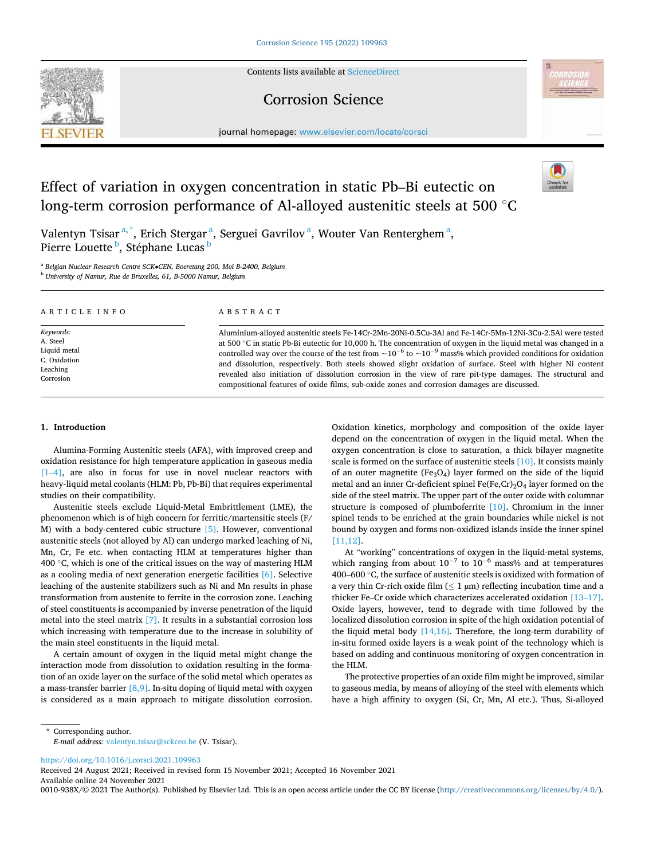Contents lists available at [ScienceDirect](www.sciencedirect.com/science/journal/0010938X)

# Corrosion Science

journal homepage: [www.elsevier.com/locate/corsci](https://www.elsevier.com/locate/corsci)



# Effect of variation in oxygen concentration in static Pb–Bi eutectic on long-term corrosion performance of Al-alloyed austenitic steels at 500 ◦C



Valentyn Tsisar<sup>a,\*</sup>, Erich Stergar<sup>a</sup>, Serguei Gavrilov<sup>a</sup>, Wouter Van Renterghem<sup>a</sup>, Pierre Louette <sup>b</sup>, Stéphane Lucas <sup>b</sup>

<sup>a</sup> *Belgian Nuclear Research Centre SCK*•*CEN, Boeretang 200, Mol B-2400, Belgium* 

<sup>b</sup> *University of Namur, Rue de Bruxelles, 61, B-5000 Namur, Belgium* 

| ARTICLE INFO | ABSTRACT                                                                                                                       |
|--------------|--------------------------------------------------------------------------------------------------------------------------------|
| Keywords:    | Aluminium-alloyed austenitic steels Fe-14Cr-2Mn-20Ni-0.5Cu-3Al and Fe-14Cr-5Mn-12Ni-3Cu-2.5Al were tested                      |
| A. Steel     | at 500 $\degree$ C in static Pb-Bi eutectic for 10,000 h. The concentration of oxygen in the liquid metal was changed in a     |
| Liquid metal | controlled way over the course of the test from $\sim 10^{-6}$ to $\sim 10^{-9}$ mass% which provided conditions for oxidation |
| C. Oxidation | and dissolution, respectively. Both steels showed slight oxidation of surface. Steel with higher Ni content                    |
| Leaching     | revealed also initiation of dissolution corrosion in the view of rare pit-type damages. The structural and                     |
| Corrosion    | compositional features of oxide films, sub-oxide zones and corrosion damages are discussed.                                    |

# **1. Introduction**

Alumina-Forming Austenitic steels (AFA), with improved creep and oxidation resistance for high temperature application in gaseous media [1–4], are also in focus for use in novel nuclear reactors with heavy-liquid metal coolants (HLM: Pb, Pb-Bi) that requires experimental studies on their compatibility.

Austenitic steels exclude Liquid-Metal Embrittlement (LME), the phenomenon which is of high concern for ferritic/martensitic steels (F/ M) with a body-centered cubic structure [5]. However, conventional austenitic steels (not alloyed by Al) can undergo marked leaching of Ni, Mn, Cr, Fe etc. when contacting HLM at temperatures higher than 400  $\degree$ C, which is one of the critical issues on the way of mastering HLM as a cooling media of next generation energetic facilities [6]. Selective leaching of the austenite stabilizers such as Ni and Mn results in phase transformation from austenite to ferrite in the corrosion zone. Leaching of steel constituents is accompanied by inverse penetration of the liquid metal into the steel matrix [7]. It results in a substantial corrosion loss which increasing with temperature due to the increase in solubility of the main steel constituents in the liquid metal.

A certain amount of oxygen in the liquid metal might change the interaction mode from dissolution to oxidation resulting in the formation of an oxide layer on the surface of the solid metal which operates as a mass-transfer barrier  $[8,9]$ . In-situ doping of liquid metal with oxygen is considered as a main approach to mitigate dissolution corrosion.

Oxidation kinetics, morphology and composition of the oxide layer depend on the concentration of oxygen in the liquid metal. When the oxygen concentration is close to saturation, a thick bilayer magnetite scale is formed on the surface of austenitic steels [10]. It consists mainly of an outer magnetite ( $Fe<sub>3</sub>O<sub>4</sub>$ ) layer formed on the side of the liquid metal and an inner Cr-deficient spinel  $Fe(Fe, Cr)<sub>2</sub>O<sub>4</sub>$  layer formed on the side of the steel matrix. The upper part of the outer oxide with columnar structure is composed of plumboferrite [10]. Chromium in the inner spinel tends to be enriched at the grain boundaries while nickel is not bound by oxygen and forms non-oxidized islands inside the inner spinel [11,12].

At "working" concentrations of oxygen in the liquid-metal systems, which ranging from about  $10^{-7}$  to  $10^{-6}$  mass% and at temperatures 400–600 ◦C, the surface of austenitic steels is oxidized with formation of a very thin Cr-rich oxide film ( $\leq 1 \,\upmu$ m) reflecting incubation time and a thicker Fe–Cr oxide which characterizes accelerated oxidation [13–17]. Oxide layers, however, tend to degrade with time followed by the localized dissolution corrosion in spite of the high oxidation potential of the liquid metal body [14,16]. Therefore, the long-term durability of in-situ formed oxide layers is a weak point of the technology which is based on adding and continuous monitoring of oxygen concentration in the HLM.

The protective properties of an oxide film might be improved, similar to gaseous media, by means of alloying of the steel with elements which have a high affinity to oxygen (Si, Cr, Mn, Al etc.). Thus, Si-alloyed

\* Corresponding author. *E-mail address:* [valentyn.tsisar@sckcen.be](mailto:valentyn.tsisar@sckcen.be) (V. Tsisar).

<https://doi.org/10.1016/j.corsci.2021.109963>

Available online 24 November 2021 Received 24 August 2021; Received in revised form 15 November 2021; Accepted 16 November 2021

0010-938X/© 2021 The Author(s). Published by Elsevier Ltd. This is an open access article under the CC BY license [\(http://creativecommons.org/licenses/by/4.0/\)](http://creativecommons.org/licenses/by/4.0/).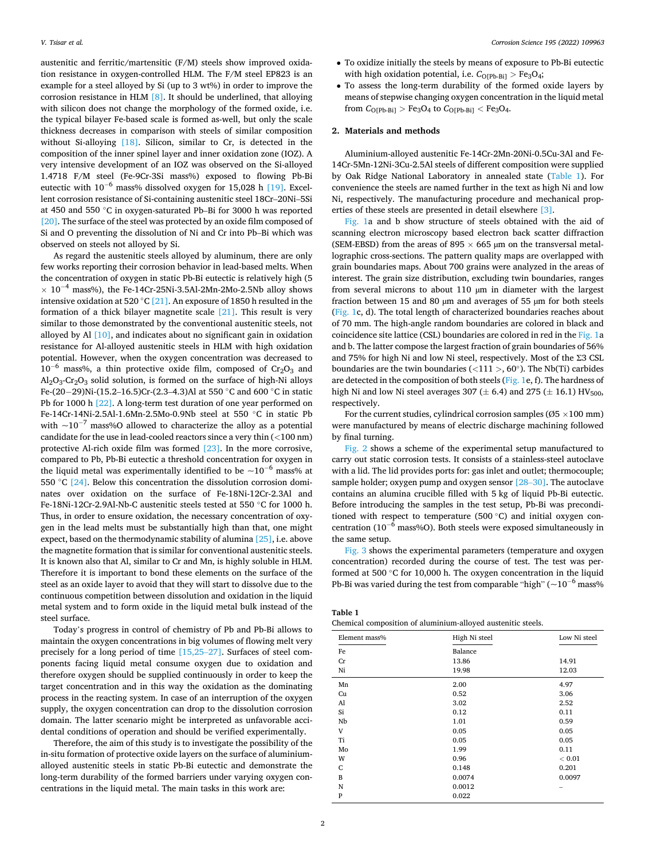austenitic and ferritic/martensitic (F/M) steels show improved oxidation resistance in oxygen-controlled HLM. The F/M steel EP823 is an example for a steel alloyed by Si (up to 3 wt%) in order to improve the corrosion resistance in HLM [8]. It should be underlined, that alloying with silicon does not change the morphology of the formed oxide, i.e. the typical bilayer Fe-based scale is formed as-well, but only the scale thickness decreases in comparison with steels of similar composition without Si-alloying  $[18]$ . Silicon, similar to Cr, is detected in the composition of the inner spinel layer and inner oxidation zone (IOZ). A very intensive development of an IOZ was observed on the Si-alloyed 1.4718 F/M steel (Fe-9Cr-3Si mass%) exposed to flowing Pb-Bi eutectic with 10<sup>−</sup>6 mass% dissolved oxygen for 15,028 h [19]. Excellent corrosion resistance of Si-containing austenitic steel 18Cr–20Ni–5Si at 450 and 550 ◦C in oxygen-saturated Pb–Bi for 3000 h was reported [20]. The surface of the steel was protected by an oxide film composed of Si and O preventing the dissolution of Ni and Cr into Pb–Bi which was observed on steels not alloyed by Si.

As regard the austenitic steels alloyed by aluminum, there are only few works reporting their corrosion behavior in lead-based melts. When the concentration of oxygen in static Pb-Bi eutectic is relatively high (5  $\times$  10<sup>-4</sup> mass%), the Fe-14Cr-25Ni-3.5Al-2Mn-2Mo-2.5Nb alloy shows intensive oxidation at 520 °C [21]. An exposure of 1850 h resulted in the formation of a thick bilayer magnetite scale  $[21]$ . This result is very similar to those demonstrated by the conventional austenitic steels, not alloyed by Al [10], and indicates about no significant gain in oxidation resistance for Al-alloyed austenitic steels in HLM with high oxidation potential. However, when the oxygen concentration was decreased to  $10^{-6}$  mass%, a thin protective oxide film, composed of Cr<sub>2</sub>O<sub>3</sub> and  $Al_2O_3$ -Cr<sub>2</sub>O<sub>3</sub> solid solution, is formed on the surface of high-Ni alloys Fe-(20−29)Ni-(15.2–16.5)Cr-(2.3–4.3)Al at 550 ◦C and 600 ◦C in static Pb for 1000 h [22]. A long-term test duration of one year performed on Fe-14Cr-14Ni-2.5Al-1.6Mn-2.5Mo-0.9Nb steel at 550 ◦C in static Pb with  $\sim$ 10<sup>-7</sup> mass%O allowed to characterize the alloy as a potential candidate for the use in lead-cooled reactors since a very thin (*<*100 nm) protective Al-rich oxide film was formed [23]. In the more corrosive, compared to Pb, Pb-Bi eutectic a threshold concentration for oxygen in the liquid metal was experimentally identified to be  $\sim 10^{-6}$  mass% at 550 ℃ [24]. Below this concentration the dissolution corrosion dominates over oxidation on the surface of Fe-18Ni-12Cr-2.3Al and Fe-18Ni-12Cr-2.9Al-Nb-C austenitic steels tested at 550 ◦C for 1000 h. Thus, in order to ensure oxidation, the necessary concentration of oxygen in the lead melts must be substantially high than that, one might expect, based on the thermodynamic stability of alumina [25], i.e. above the magnetite formation that is similar for conventional austenitic steels. It is known also that Al, similar to Cr and Mn, is highly soluble in HLM. Therefore it is important to bond these elements on the surface of the steel as an oxide layer to avoid that they will start to dissolve due to the continuous competition between dissolution and oxidation in the liquid metal system and to form oxide in the liquid metal bulk instead of the steel surface.

Today's progress in control of chemistry of Pb and Pb-Bi allows to maintain the oxygen concentrations in big volumes of flowing melt very precisely for a long period of time [15,25–27]. Surfaces of steel components facing liquid metal consume oxygen due to oxidation and therefore oxygen should be supplied continuously in order to keep the target concentration and in this way the oxidation as the dominating process in the reacting system. In case of an interruption of the oxygen supply, the oxygen concentration can drop to the dissolution corrosion domain. The latter scenario might be interpreted as unfavorable accidental conditions of operation and should be verified experimentally.

Therefore, the aim of this study is to investigate the possibility of the in-situ formation of protective oxide layers on the surface of aluminiumalloyed austenitic steels in static Pb-Bi eutectic and demonstrate the long-term durability of the formed barriers under varying oxygen concentrations in the liquid metal. The main tasks in this work are:

- To oxidize initially the steels by means of exposure to Pb-Bi eutectic with high oxidation potential, i.e.  $C_{\text{O[Pb-Bi]}} > \text{Fe}_3\text{O}_4$ ;
- To assess the long-term durability of the formed oxide layers by means of stepwise changing oxygen concentration in the liquid metal from  $C_{O[Pb-Bi]} > Fe_3O_4$  to  $C_{O[Pb-Bi]} < Fe_3O_4$ .

#### **2. Materials and methods**

Aluminium-alloyed austenitic Fe-14Cr-2Mn-20Ni-0.5Cu-3Al and Fe-14Cr-5Mn-12Ni-3Cu-2.5Al steels of different composition were supplied by Oak Ridge National Laboratory in annealed state (Table 1). For convenience the steels are named further in the text as high Ni and low Ni, respectively. The manufacturing procedure and mechanical properties of these steels are presented in detail elsewhere [3].

Fig. 1a and b show structure of steels obtained with the aid of scanning electron microscopy based electron back scatter diffraction (SEM-EBSD) from the areas of 895  $\times$  665 µm on the transversal metallographic cross-sections. The pattern quality maps are overlapped with grain boundaries maps. About 700 grains were analyzed in the areas of interest. The grain size distribution, excluding twin boundaries, ranges from several microns to about 110 µm in diameter with the largest fraction between 15 and 80 µm and averages of 55 µm for both steels (Fig. 1c, d). The total length of characterized boundaries reaches about of 70 mm. The high-angle random boundaries are colored in black and coincidence site lattice (CSL) boundaries are colored in red in the Fig. 1a and b. The latter compose the largest fraction of grain boundaries of 56% and 75% for high Ni and low Ni steel, respectively. Most of the Σ3 CSL boundaries are the twin boundaries (*<*111 *>*, 60◦). The Nb(Ti) carbides are detected in the composition of both steels (Fig. 1e, f). The hardness of high Ni and low Ni steel averages 307 ( $\pm$  6.4) and 275 ( $\pm$  16.1) HV<sub>500</sub>, respectively.

For the current studies, cylindrical corrosion samples ( $\varnothing$ 5 × 100 mm) were manufactured by means of electric discharge machining followed by final turning.

Fig. 2 shows a scheme of the experimental setup manufactured to carry out static corrosion tests. It consists of a stainless-steel autoclave with a lid. The lid provides ports for: gas inlet and outlet; thermocouple; sample holder; oxygen pump and oxygen sensor [28-30]. The autoclave contains an alumina crucible filled with 5 kg of liquid Pb-Bi eutectic. Before introducing the samples in the test setup, Pb-Bi was preconditioned with respect to temperature (500 ◦C) and initial oxygen concentration ( $10^{-6}$  mass%O). Both steels were exposed simultaneously in the same setup.

Fig. 3 shows the experimental parameters (temperature and oxygen concentration) recorded during the course of test. The test was performed at 500 ◦C for 10,000 h. The oxygen concentration in the liquid Pb-Bi was varied during the test from comparable "high" ( $\sim$ 10<sup>-6</sup> mass%

| Table 1 |
|---------|
|---------|

| Chemical composition of aluminium-alloyed austenitic steels. |  |  |  |
|--------------------------------------------------------------|--|--|--|
|--------------------------------------------------------------|--|--|--|

| Element mass% | High Ni steel | Low Ni steel |
|---------------|---------------|--------------|
| Fe            | Balance       |              |
| Cr            | 13.86         | 14.91        |
| Ni            | 19.98         | 12.03        |
| Mn            | 2.00          | 4.97         |
| Cu            | 0.52          | 3.06         |
| Al            | 3.02          | 2.52         |
| Si            | 0.12          | 0.11         |
| Nb            | 1.01          | 0.59         |
| V             | 0.05          | 0.05         |
| Ti            | 0.05          | 0.05         |
| Mo            | 1.99          | 0.11         |
| W             | 0.96          | < 0.01       |
| C             | 0.148         | 0.201        |
| B             | 0.0074        | 0.0097       |
| N             | 0.0012        |              |
| P             | 0.022         |              |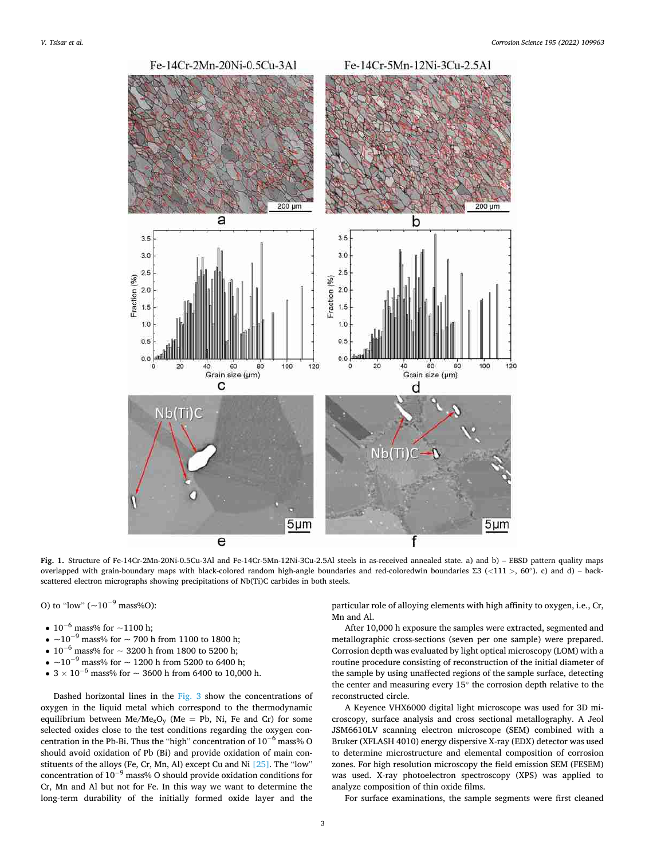

**Fig. 1.** Structure of Fe-14Cr-2Mn-20Ni-0.5Cu-3Al and Fe-14Cr-5Mn-12Ni-3Cu-2.5Al steels in as-received annealed state. a) and b) – EBSD pattern quality maps overlapped with grain-boundary maps with black-colored random high-angle boundaries and red-coloredwin boundaries Σ3 (*<*111 *>*, 60◦). c) and d) – backscattered electron micrographs showing precipitations of Nb(Ti)C carbides in both steels.

O) to "low"  $(-10^{-9} \text{ mass} \% \text{O})$ :

- $10^{-6}$  mass% for  $\sim$  1100 h;
- $\sim$ 10<sup>-9</sup> mass% for  $\sim$  700 h from 1100 to 1800 h;
- $10^{-6}$  mass% for  $\sim$  3200 h from 1800 to 5200 h;
- $\sim$ 10<sup>-9</sup> mass% for  $\sim$  1200 h from 5200 to 6400 h;
- $3 \times 10^{-6}$  mass% for  $\sim$  3600 h from 6400 to 10,000 h.

Dashed horizontal lines in the Fig. 3 show the concentrations of oxygen in the liquid metal which correspond to the thermodynamic equilibrium between  $Me<sub>x</sub>O<sub>y</sub>$  (Me = Pb, Ni, Fe and Cr) for some selected oxides close to the test conditions regarding the oxygen concentration in the Pb-Bi. Thus the "high" concentration of 10<sup>−</sup>6 mass% O should avoid oxidation of Pb (Bi) and provide oxidation of main constituents of the alloys (Fe, Cr, Mn, Al) except Cu and Ni [25]. The "low" concentration of 10<sup>−</sup>9 mass% O should provide oxidation conditions for Cr, Mn and Al but not for Fe. In this way we want to determine the long-term durability of the initially formed oxide layer and the

particular role of alloying elements with high affinity to oxygen, i.e., Cr, Mn and Al.

After 10,000 h exposure the samples were extracted, segmented and metallographic cross-sections (seven per one sample) were prepared. Corrosion depth was evaluated by light optical microscopy (LOM) with a routine procedure consisting of reconstruction of the initial diameter of the sample by using unaffected regions of the sample surface, detecting the center and measuring every 15◦ the corrosion depth relative to the reconstructed circle.

A Keyence VHX6000 digital light microscope was used for 3D microscopy, surface analysis and cross sectional metallography. A Jeol JSM6610LV scanning electron microscope (SEM) combined with a Bruker (XFLASH 4010) energy dispersive X-ray (EDX) detector was used to determine microstructure and elemental composition of corrosion zones. For high resolution microscopy the field emission SEM (FESEM) was used. X-ray photoelectron spectroscopy (XPS) was applied to analyze composition of thin oxide films.

For surface examinations, the sample segments were first cleaned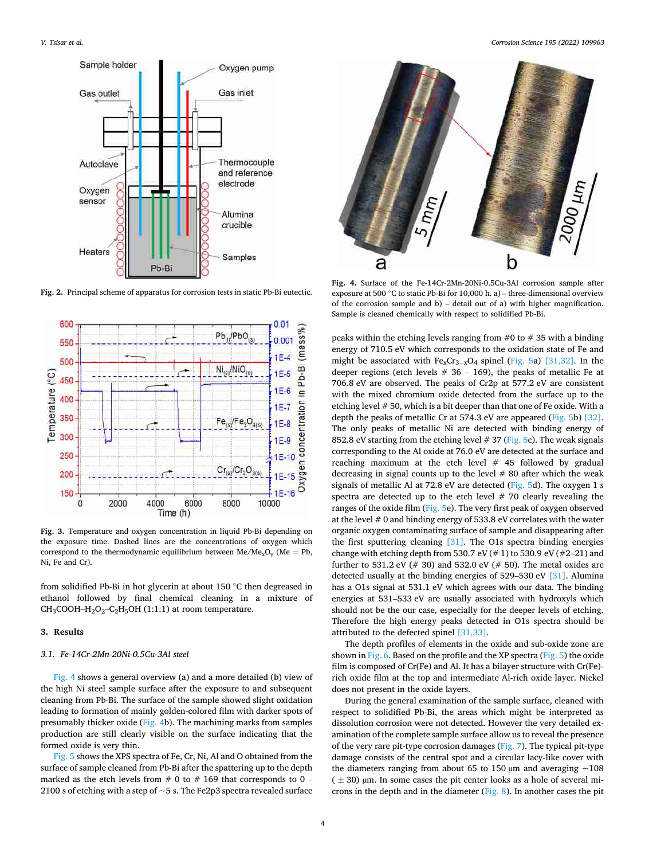

**Fig. 2.** Principal scheme of apparatus for corrosion tests in static Pb-Bi eutectic.



**Fig. 3.** Temperature and oxygen concentration in liquid Pb-Bi depending on the exposure time. Dashed lines are the concentrations of oxygen which correspond to the thermodynamic equilibrium between  $Me/Me_xO_y$  (Me = Pb, Ni, Fe and Cr).

from solidified Pb-Bi in hot glycerin at about 150 ◦C then degreased in ethanol followed by final chemical cleaning in a mixture of  $CH_3COOH-H_2O_2-C_2H_5OH$  (1:1:1) at room temperature.

## **3. Results**

#### *3.1. Fe-14Cr-2Mn-20Ni-0.5Cu-3Al steel*

Fig. 4 shows a general overview (a) and a more detailed (b) view of the high Ni steel sample surface after the exposure to and subsequent cleaning from Pb-Bi. The surface of the sample showed slight oxidation leading to formation of mainly golden-colored film with darker spots of presumably thicker oxide (Fig. 4b). The machining marks from samples production are still clearly visible on the surface indicating that the formed oxide is very thin.

Fig. 5 shows the XPS spectra of Fe, Cr, Ni, Al and O obtained from the surface of sample cleaned from Pb-Bi after the spattering up to the depth marked as the etch levels from  $# 0$  to  $# 169$  that corresponds to 0 – 2100 s of etching with a step of  $\sim$  5 s. The Fe2p3 spectra revealed surface

*Corrosion Science 195 (2022) 109963*



**Fig. 4.** Surface of the Fe-14Cr-2Mn-20Ni-0.5Cu-3Al corrosion sample after exposure at 500 ◦C to static Pb-Bi for 10,000 h. a) – three-dimensional overview of the corrosion sample and b) – detail out of a) with higher magnification. Sample is cleaned chemically with respect to solidified Pb-Bi.

peaks within the etching levels ranging from  $#0$  to  $#35$  with a binding energy of 710.5 eV which corresponds to the oxidation state of Fe and might be associated with  $Fe<sub>x</sub>Cr<sub>3-x</sub>O<sub>4</sub>$  spinel (Fig. 5a) [31,32]. In the deeper regions (etch levels  $# 36 - 169$ ), the peaks of metallic Fe at 706.8 eV are observed. The peaks of Cr2p at 577.2 eV are consistent with the mixed chromium oxide detected from the surface up to the etching level # 50, which is a bit deeper than that one of Fe oxide. With a depth the peaks of metallic Cr at 574.3 eV are appeared (Fig. 5b) [32]. The only peaks of metallic Ni are detected with binding energy of 852.8 eV starting from the etching level  $# 37$  (Fig. 5c). The weak signals corresponding to the Al oxide at 76.0 eV are detected at the surface and reaching maximum at the etch level # 45 followed by gradual decreasing in signal counts up to the level  $# 80$  after which the weak signals of metallic Al at 72.8 eV are detected (Fig. 5d). The oxygen 1 s spectra are detected up to the etch level  $# 70$  clearly revealing the ranges of the oxide film (Fig. 5e). The very first peak of oxygen observed at the level # 0 and binding energy of 533.8 eV correlates with the water organic oxygen contaminating surface of sample and disappearing after the first sputtering cleaning [31]. The O1s spectra binding energies change with etching depth from 530.7 eV  $(\# 1)$  to 530.9 eV  $(\#2-21)$  and further to 531.2 eV ( $# 30$ ) and 532.0 eV ( $# 50$ ). The metal oxides are detected usually at the binding energies of 529–530 eV [31]. Alumina has a O1s signal at 531.1 eV which agrees with our data. The binding energies at 531–533 eV are usually associated with hydroxyls which should not be the our case, especially for the deeper levels of etching. Therefore the high energy peaks detected in O1s spectra should be attributed to the defected spinel [31,33].

The depth profiles of elements in the oxide and sub-oxide zone are shown in Fig. 6. Based on the profile and the XP spectra (Fig. 5) the oxide film is composed of Cr(Fe) and Al. It has a bilayer structure with Cr(Fe) rich oxide film at the top and intermediate Al-rich oxide layer. Nickel does not present in the oxide layers.

During the general examination of the sample surface, cleaned with respect to solidified Pb-Bi, the areas which might be interpreted as dissolution corrosion were not detected. However the very detailed examination of the complete sample surface allow us to reveal the presence of the very rare pit-type corrosion damages (Fig. 7). The typical pit-type damage consists of the central spot and a circular lacy-like cover with the diameters ranging from about 65 to 150  $\mu$ m and averaging  $\sim$ 108  $( \pm 30)$  µm. In some cases the pit center looks as a hole of several microns in the depth and in the diameter (Fig. 8). In another cases the pit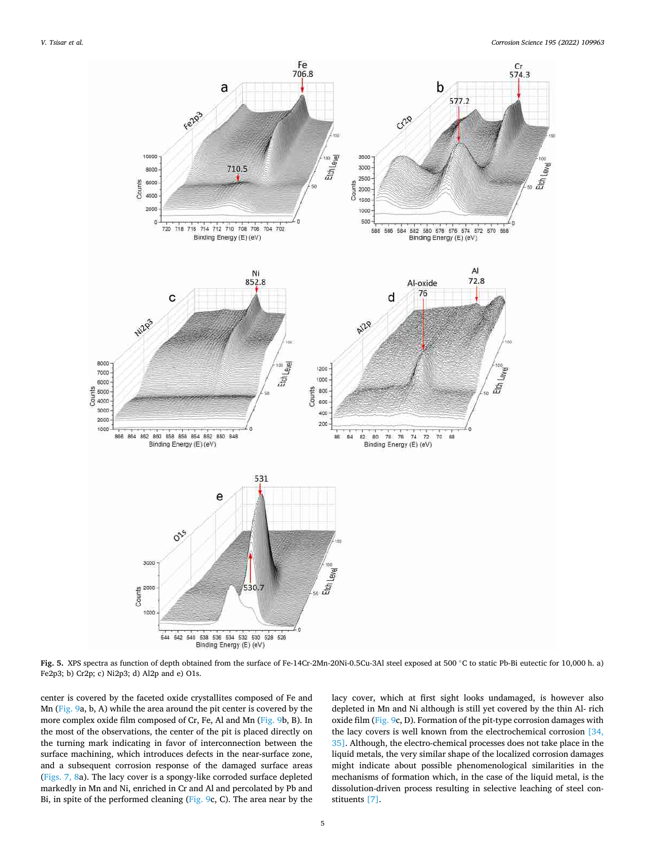

**Fig. 5.** XPS spectra as function of depth obtained from the surface of Fe-14Cr-2Mn-20Ni-0.5Cu-3Al steel exposed at 500 ◦C to static Pb-Bi eutectic for 10,000 h. a) Fe2p3; b) Cr2p; c) Ni2p3; d) Al2p and e) O1s.

center is covered by the faceted oxide crystallites composed of Fe and Mn (Fig. 9a, b, A) while the area around the pit center is covered by the more complex oxide film composed of Cr, Fe, Al and Mn (Fig. 9b, B). In the most of the observations, the center of the pit is placed directly on the turning mark indicating in favor of interconnection between the surface machining, which introduces defects in the near-surface zone, and a subsequent corrosion response of the damaged surface areas (Figs. 7, 8a). The lacy cover is a spongy-like corroded surface depleted markedly in Mn and Ni, enriched in Cr and Al and percolated by Pb and Bi, in spite of the performed cleaning (Fig. 9c, C). The area near by the lacy cover, which at first sight looks undamaged, is however also depleted in Mn and Ni although is still yet covered by the thin Al- rich oxide film (Fig. 9c, D). Formation of the pit-type corrosion damages with the lacy covers is well known from the electrochemical corrosion [34, 35]. Although, the electro-chemical processes does not take place in the liquid metals, the very similar shape of the localized corrosion damages might indicate about possible phenomenological similarities in the mechanisms of formation which, in the case of the liquid metal, is the dissolution-driven process resulting in selective leaching of steel constituents [7].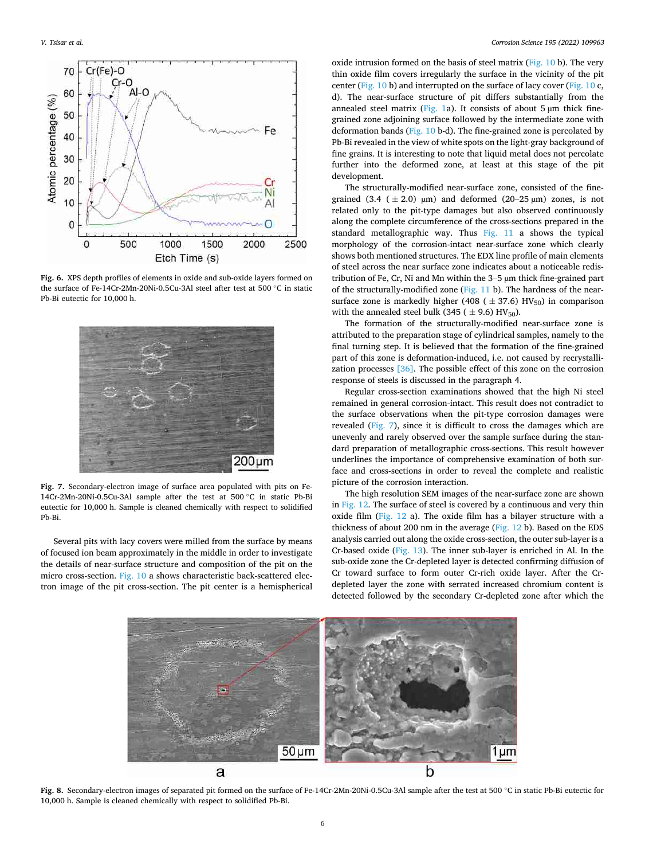

**Fig. 6.** XPS depth profiles of elements in oxide and sub-oxide layers formed on the surface of Fe-14Cr-2Mn-20Ni-0.5Cu-3Al steel after test at 500 ◦C in static Pb-Bi eutectic for 10,000 h.



**Fig. 7.** Secondary-electron image of surface area populated with pits on Fe-14Cr-2Mn-20Ni-0.5Cu-3Al sample after the test at 500 ◦C in static Pb-Bi eutectic for 10,000 h. Sample is cleaned chemically with respect to solidified Pb-Bi.

Several pits with lacy covers were milled from the surface by means of focused ion beam approximately in the middle in order to investigate the details of near-surface structure and composition of the pit on the micro cross-section. Fig. 10 a shows characteristic back-scattered electron image of the pit cross-section. The pit center is a hemispherical

oxide intrusion formed on the basis of steel matrix (Fig. 10 b). The very thin oxide film covers irregularly the surface in the vicinity of the pit center (Fig. 10 b) and interrupted on the surface of lacy cover (Fig. 10 c, d). The near-surface structure of pit differs substantially from the annealed steel matrix (Fig. 1a). It consists of about 5  $\mu$ m thick finegrained zone adjoining surface followed by the intermediate zone with deformation bands (Fig. 10 b-d). The fine-grained zone is percolated by Pb-Bi revealed in the view of white spots on the light-gray background of fine grains. It is interesting to note that liquid metal does not percolate further into the deformed zone, at least at this stage of the pit development.

The structurally-modified near-surface zone, consisted of the finegrained (3.4 ( $\pm$  2.0)  $\mu$ m) and deformed (20–25  $\mu$ m) zones, is not related only to the pit-type damages but also observed continuously along the complete circumference of the cross-sections prepared in the standard metallographic way. Thus Fig. 11 a shows the typical morphology of the corrosion-intact near-surface zone which clearly shows both mentioned structures. The EDX line profile of main elements of steel across the near surface zone indicates about a noticeable redistribution of Fe, Cr, Ni and Mn within the 3–5 µm thick fine-grained part of the structurally-modified zone (Fig. 11 b). The hardness of the nearsurface zone is markedly higher (408 ( $\pm$  37.6) HV<sub>50</sub>) in comparison with the annealed steel bulk (345 ( $\pm$  9.6) HV<sub>50</sub>).

The formation of the structurally-modified near-surface zone is attributed to the preparation stage of cylindrical samples, namely to the final turning step. It is believed that the formation of the fine-grained part of this zone is deformation-induced, i.e. not caused by recrystallization processes [36]. The possible effect of this zone on the corrosion response of steels is discussed in the paragraph 4.

Regular cross-section examinations showed that the high Ni steel remained in general corrosion-intact. This result does not contradict to the surface observations when the pit-type corrosion damages were revealed (Fig. 7), since it is difficult to cross the damages which are unevenly and rarely observed over the sample surface during the standard preparation of metallographic cross-sections. This result however underlines the importance of comprehensive examination of both surface and cross-sections in order to reveal the complete and realistic picture of the corrosion interaction.

The high resolution SEM images of the near-surface zone are shown in Fig. 12. The surface of steel is covered by a continuous and very thin oxide film (Fig. 12 a). The oxide film has a bilayer structure with a thickness of about 200 nm in the average (Fig. 12 b). Based on the EDS analysis carried out along the oxide cross-section, the outer sub-layer is a Cr-based oxide (Fig. 13). The inner sub-layer is enriched in Al. In the sub-oxide zone the Cr-depleted layer is detected confirming diffusion of Cr toward surface to form outer Cr-rich oxide layer. After the Crdepleted layer the zone with serrated increased chromium content is detected followed by the secondary Cr-depleted zone after which the



**Fig. 8.** Secondary-electron images of separated pit formed on the surface of Fe-14Cr-2Mn-20Ni-0.5Cu-3Al sample after the test at 500 ◦C in static Pb-Bi eutectic for 10,000 h. Sample is cleaned chemically with respect to solidified Pb-Bi.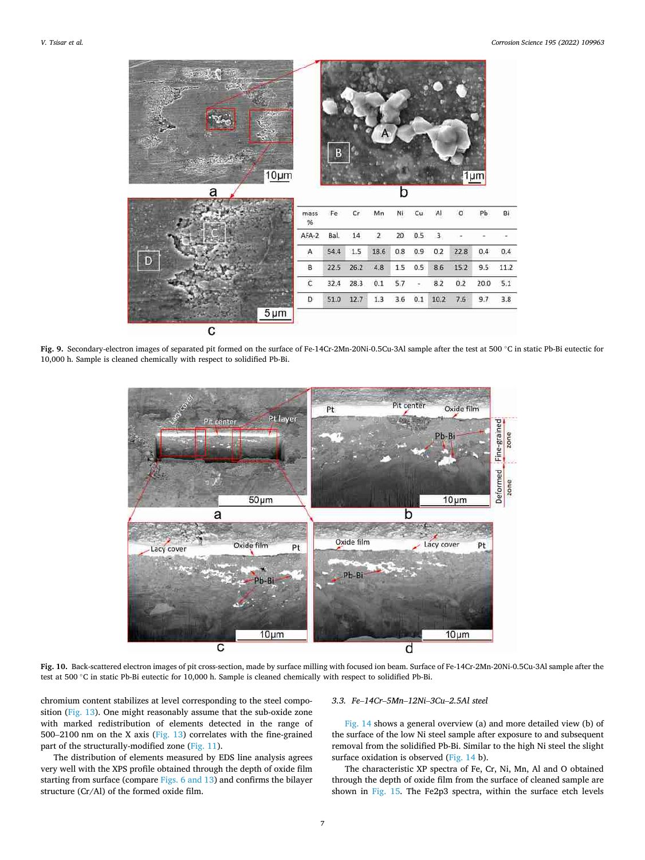

**Fig. 9.** Secondary-electron images of separated pit formed on the surface of Fe-14Cr-2Mn-20Ni-0.5Cu-3Al sample after the test at 500 ◦C in static Pb-Bi eutectic for 10,000 h. Sample is cleaned chemically with respect to solidified Pb-Bi.



**Fig. 10.** Back-scattered electron images of pit cross-section, made by surface milling with focused ion beam. Surface of Fe-14Cr-2Mn-20Ni-0.5Cu-3Al sample after the test at 500 ℃ in static Pb-Bi eutectic for 10,000 h. Sample is cleaned chemically with respect to solidified Pb-Bi.

chromium content stabilizes at level corresponding to the steel composition (Fig. 13). One might reasonably assume that the sub-oxide zone with marked redistribution of elements detected in the range of 500–2100 nm on the X axis (Fig. 13) correlates with the fine-grained part of the structurally-modified zone (Fig. 11).

The distribution of elements measured by EDS line analysis agrees very well with the XPS profile obtained through the depth of oxide film starting from surface (compare Figs. 6 and 13) and confirms the bilayer structure (Cr/Al) of the formed oxide film.

### *3.3. Fe*–*14Cr*–*5Mn*–*12Ni*–*3Cu*–*2.5Al steel*

Fig. 14 shows a general overview (a) and more detailed view (b) of the surface of the low Ni steel sample after exposure to and subsequent removal from the solidified Pb-Bi. Similar to the high Ni steel the slight surface oxidation is observed (Fig. 14 b).

The characteristic XP spectra of Fe, Cr, Ni, Mn, Al and O obtained through the depth of oxide film from the surface of cleaned sample are shown in Fig. 15. The Fe2p3 spectra, within the surface etch levels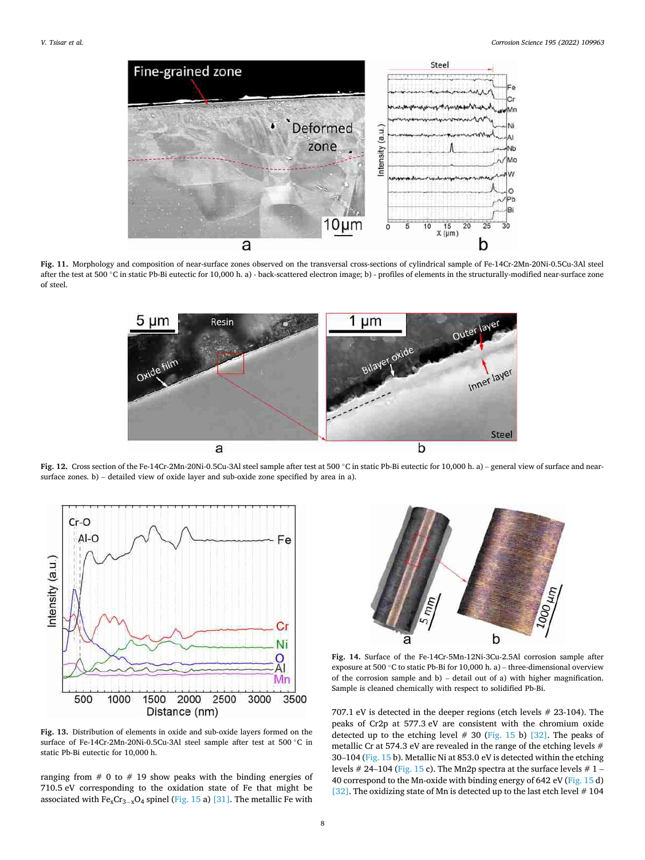

**Fig. 11.** Morphology and composition of near-surface zones observed on the transversal cross-sections of cylindrical sample of Fe-14Cr-2Mn-20Ni-0.5Cu-3Al steel after the test at 500 °C in static Pb-Bi eutectic for 10,000 h. a) - back-scattered electron image; b) - profiles of elements in the structurally-modified near-surface zone of steel.



**Fig. 12.** Cross section of the Fe-14Cr-2Mn-20Ni-0.5Cu-3Al steel sample after test at 500 ◦C in static Pb-Bi eutectic for 10,000 h. a) – general view of surface and nearsurface zones. b) – detailed view of oxide layer and sub-oxide zone specified by area in a).



**Fig. 13.** Distribution of elements in oxide and sub-oxide layers formed on the surface of Fe-14Cr-2Mn-20Ni-0.5Cu-3Al steel sample after test at 500 °C in static Pb-Bi eutectic for 10,000 h.

ranging from  $# 0$  to  $# 19$  show peaks with the binding energies of 710.5 eV corresponding to the oxidation state of Fe that might be associated with  $Fe_{x}Cr_{3-x}O_{4}$  spinel (Fig. 15 a) [31]. The metallic Fe with



**Fig. 14.** Surface of the Fe-14Cr-5Mn-12Ni-3Cu-2.5Al corrosion sample after exposure at 500 ◦C to static Pb-Bi for 10,000 h. a) – three-dimensional overview of the corrosion sample and b) – detail out of a) with higher magnification. Sample is cleaned chemically with respect to solidified Pb-Bi.

707.1 eV is detected in the deeper regions (etch levels # 23-104). The peaks of Cr2p at 577.3 eV are consistent with the chromium oxide detected up to the etching level  $# 30$  (Fig. 15 b) [32]. The peaks of metallic Cr at 574.3 eV are revealed in the range of the etching levels # 30–104 (Fig. 15 b). Metallic Ni at 853.0 eV is detected within the etching levels # 24–104 (Fig. 15 c). The Mn2p spectra at the surface levels #  $1$  – 40 correspond to the Mn-oxide with binding energy of 642 eV (Fig. 15 d) [32]. The oxidizing state of Mn is detected up to the last etch level  $# 104$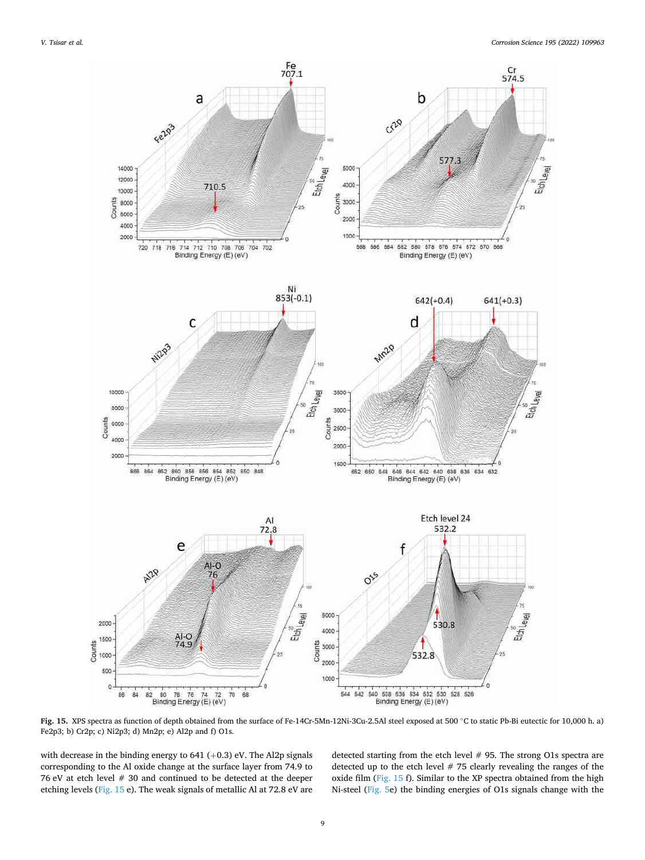

**Fig. 15.** XPS spectra as function of depth obtained from the surface of Fe-14Cr-5Mn-12Ni-3Cu-2.5Al steel exposed at 500 ◦C to static Pb-Bi eutectic for 10,000 h. a) Fe2p3; b) Cr2p; c) Ni2p3; d) Mn2p; e) Al2p and f) O1s.

with decrease in the binding energy to 641 (+0.3) eV. The Al2p signals corresponding to the Al oxide change at the surface layer from 74.9 to 76 eV at etch level # 30 and continued to be detected at the deeper etching levels (Fig. 15 e). The weak signals of metallic Al at 72.8 eV are detected starting from the etch level # 95. The strong O1s spectra are detected up to the etch level # 75 clearly revealing the ranges of the oxide film (Fig. 15 f). Similar to the XP spectra obtained from the high Ni-steel (Fig. 5e) the binding energies of O1s signals change with the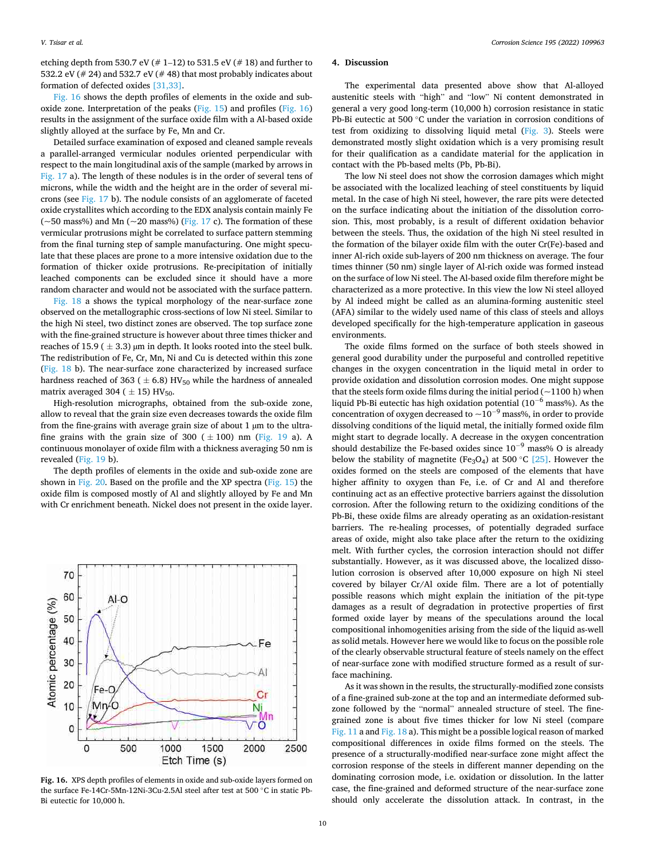etching depth from 530.7 eV ( $# 1$ –12) to 531.5 eV ( $# 18$ ) and further to 532.2 eV (# 24) and 532.7 eV (# 48) that most probably indicates about formation of defected oxides [31,33].

Fig. 16 shows the depth profiles of elements in the oxide and suboxide zone. Interpretation of the peaks (Fig. 15) and profiles (Fig. 16) results in the assignment of the surface oxide film with a Al-based oxide slightly alloyed at the surface by Fe, Mn and Cr.

Detailed surface examination of exposed and cleaned sample reveals a parallel-arranged vermicular nodules oriented perpendicular with respect to the main longitudinal axis of the sample (marked by arrows in Fig. 17 a). The length of these nodules is in the order of several tens of microns, while the width and the height are in the order of several microns (see Fig. 17 b). The nodule consists of an agglomerate of faceted oxide crystallites which according to the EDX analysis contain mainly Fe ( $\sim$ 50 mass%) and Mn ( $\sim$ 20 mass%) (Fig. 17 c). The formation of these vermicular protrusions might be correlated to surface pattern stemming from the final turning step of sample manufacturing. One might speculate that these places are prone to a more intensive oxidation due to the formation of thicker oxide protrusions. Re-precipitation of initially leached components can be excluded since it should have a more random character and would not be associated with the surface pattern.

Fig. 18 a shows the typical morphology of the near-surface zone observed on the metallographic cross-sections of low Ni steel. Similar to the high Ni steel, two distinct zones are observed. The top surface zone with the fine-grained structure is however about three times thicker and reaches of 15.9 ( $\pm$  3.3) µm in depth. It looks rooted into the steel bulk. The redistribution of Fe, Cr, Mn, Ni and Cu is detected within this zone (Fig. 18 b). The near-surface zone characterized by increased surface hardness reached of 363 ( $\pm$  6.8) HV<sub>50</sub> while the hardness of annealed matrix averaged 304 ( $\pm$  15) HV<sub>50</sub>.

High-resolution micrographs, obtained from the sub-oxide zone, allow to reveal that the grain size even decreases towards the oxide film from the fine-grains with average grain size of about 1 µm to the ultrafine grains with the grain size of 300 ( $\pm$  100) nm (Fig. 19 a). A continuous monolayer of oxide film with a thickness averaging 50 nm is revealed (Fig. 19 b).

The depth profiles of elements in the oxide and sub-oxide zone are shown in Fig. 20. Based on the profile and the XP spectra (Fig. 15) the oxide film is composed mostly of Al and slightly alloyed by Fe and Mn with Cr enrichment beneath. Nickel does not present in the oxide layer.



**Fig. 16.** XPS depth profiles of elements in oxide and sub-oxide layers formed on the surface Fe-14Cr-5Mn-12Ni-3Cu-2.5Al steel after test at 500 ◦C in static Pb-Bi eutectic for 10,000 h.

# **4. Discussion**

The experimental data presented above show that Al-alloyed austenitic steels with "high" and "low" Ni content demonstrated in general a very good long-term (10,000 h) corrosion resistance in static Pb-Bi eutectic at 500 ℃ under the variation in corrosion conditions of test from oxidizing to dissolving liquid metal (Fig. 3). Steels were demonstrated mostly slight oxidation which is a very promising result for their qualification as a candidate material for the application in contact with the Pb-based melts (Pb, Pb-Bi).

The low Ni steel does not show the corrosion damages which might be associated with the localized leaching of steel constituents by liquid metal. In the case of high Ni steel, however, the rare pits were detected on the surface indicating about the initiation of the dissolution corrosion. This, most probably, is a result of different oxidation behavior between the steels. Thus, the oxidation of the high Ni steel resulted in the formation of the bilayer oxide film with the outer Cr(Fe)-based and inner Al-rich oxide sub-layers of 200 nm thickness on average. The four times thinner (50 nm) single layer of Al-rich oxide was formed instead on the surface of low Ni steel. The Al-based oxide film therefore might be characterized as a more protective. In this view the low Ni steel alloyed by Al indeed might be called as an alumina-forming austenitic steel (AFA) similar to the widely used name of this class of steels and alloys developed specifically for the high-temperature application in gaseous environments.

The oxide films formed on the surface of both steels showed in general good durability under the purposeful and controlled repetitive changes in the oxygen concentration in the liquid metal in order to provide oxidation and dissolution corrosion modes. One might suppose that the steels form oxide films during the initial period  $(-1100 h)$  when liquid Pb-Bi eutectic has high oxidation potential (10<sup>−</sup>6 mass%). As the concentration of oxygen decreased to  $\sim 10^{-9}$  mass%, in order to provide dissolving conditions of the liquid metal, the initially formed oxide film might start to degrade locally. A decrease in the oxygen concentration should destabilize the Fe-based oxides since  $10^{-9}$  mass% O is already below the stability of magnetite (Fe<sub>3</sub>O<sub>4</sub>) at 500 °C [25]. However the oxides formed on the steels are composed of the elements that have higher affinity to oxygen than Fe, i.e. of Cr and Al and therefore continuing act as an effective protective barriers against the dissolution corrosion. After the following return to the oxidizing conditions of the Pb-Bi, these oxide films are already operating as an oxidation-resistant barriers. The re-healing processes, of potentially degraded surface areas of oxide, might also take place after the return to the oxidizing melt. With further cycles, the corrosion interaction should not differ substantially. However, as it was discussed above, the localized dissolution corrosion is observed after 10,000 exposure on high Ni steel covered by bilayer Cr/Al oxide film. There are a lot of potentially possible reasons which might explain the initiation of the pit-type damages as a result of degradation in protective properties of first formed oxide layer by means of the speculations around the local compositional inhomogenities arising from the side of the liquid as-well as solid metals. However here we would like to focus on the possible role of the clearly observable structural feature of steels namely on the effect of near-surface zone with modified structure formed as a result of surface machining.

As it was shown in the results, the structurally-modified zone consists of a fine-grained sub-zone at the top and an intermediate deformed subzone followed by the "normal" annealed structure of steel. The finegrained zone is about five times thicker for low Ni steel (compare Fig. 11 a and Fig. 18 a). This might be a possible logical reason of marked compositional differences in oxide films formed on the steels. The presence of a structurally-modified near-surface zone might affect the corrosion response of the steels in different manner depending on the dominating corrosion mode, i.e. oxidation or dissolution. In the latter case, the fine-grained and deformed structure of the near-surface zone should only accelerate the dissolution attack. In contrast, in the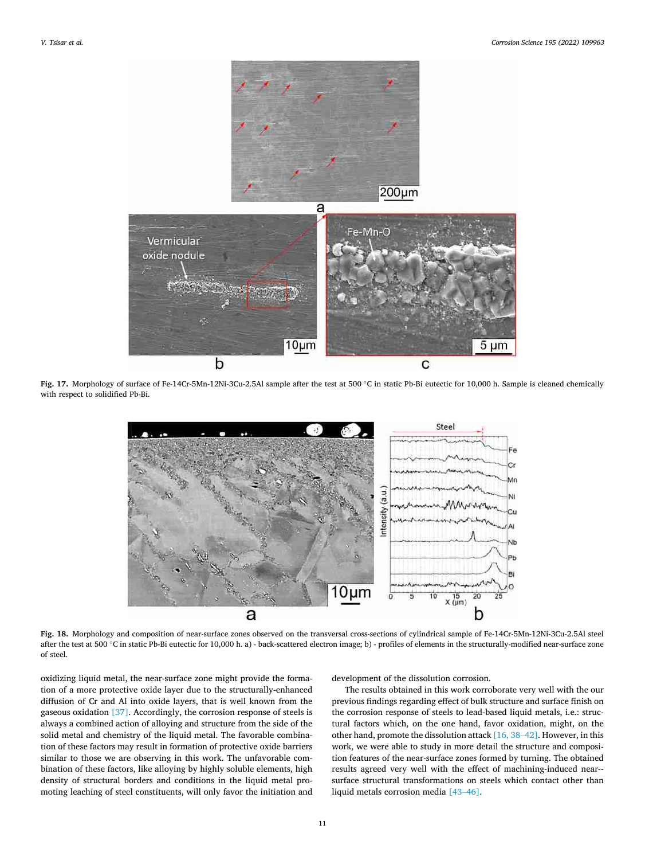

**Fig. 17.** Morphology of surface of Fe-14Cr-5Mn-12Ni-3Cu-2.5Al sample after the test at 500 ◦C in static Pb-Bi eutectic for 10,000 h. Sample is cleaned chemically with respect to solidified Pb-Bi.



**Fig. 18.** Morphology and composition of near-surface zones observed on the transversal cross-sections of cylindrical sample of Fe-14Cr-5Mn-12Ni-3Cu-2.5Al steel after the test at 500 °C in static Pb-Bi eutectic for 10,000 h. a) - back-scattered electron image; b) - profiles of elements in the structurally-modified near-surface zone of steel.

oxidizing liquid metal, the near-surface zone might provide the formation of a more protective oxide layer due to the structurally-enhanced diffusion of Cr and Al into oxide layers, that is well known from the gaseous oxidation [37]. Accordingly, the corrosion response of steels is always a combined action of alloying and structure from the side of the solid metal and chemistry of the liquid metal. The favorable combination of these factors may result in formation of protective oxide barriers similar to those we are observing in this work. The unfavorable combination of these factors, like alloying by highly soluble elements, high density of structural borders and conditions in the liquid metal promoting leaching of steel constituents, will only favor the initiation and development of the dissolution corrosion.

The results obtained in this work corroborate very well with the our previous findings regarding effect of bulk structure and surface finish on the corrosion response of steels to lead-based liquid metals, i.e.: structural factors which, on the one hand, favor oxidation, might, on the other hand, promote the dissolution attack [16, 38–42]. However, in this work, we were able to study in more detail the structure and composition features of the near-surface zones formed by turning. The obtained results agreed very well with the effect of machining-induced near-surface structural transformations on steels which contact other than liquid metals corrosion media [43–46].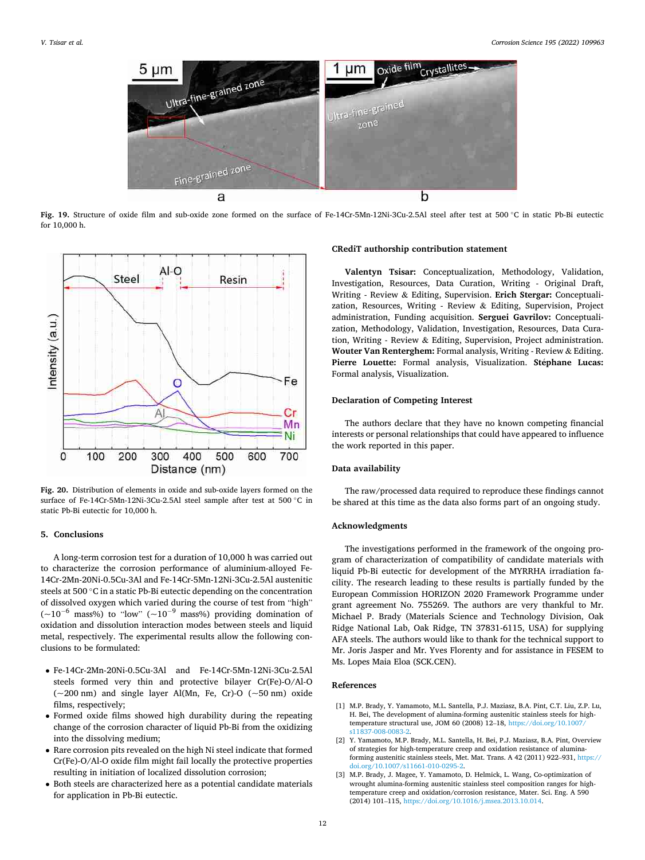

**Fig. 19.** Structure of oxide film and sub-oxide zone formed on the surface of Fe-14Cr-5Mn-12Ni-3Cu-2.5Al steel after test at 500 ◦C in static Pb-Bi eutectic for 10,000 h.



**Fig. 20.** Distribution of elements in oxide and sub-oxide layers formed on the surface of Fe-14Cr-5Mn-12Ni-3Cu-2.5Al steel sample after test at 500 ◦C in static Pb-Bi eutectic for 10,000 h.

#### **5. Conclusions**

A long-term corrosion test for a duration of 10,000 h was carried out to characterize the corrosion performance of aluminium-alloyed Fe-14Cr-2Mn-20Ni-0.5Cu-3Al and Fe-14Cr-5Mn-12Ni-3Cu-2.5Al austenitic steels at 500 ◦C in a static Pb-Bi eutectic depending on the concentration of dissolved oxygen which varied during the course of test from "high" ( $\sim$ 10<sup>-6</sup> mass%) to "low" ( $\sim$ 10<sup>-9</sup> mass%) providing domination of oxidation and dissolution interaction modes between steels and liquid metal, respectively. The experimental results allow the following conclusions to be formulated:

- Fe-14Cr-2Mn-20Ni-0.5Cu-3Al and Fe-14Cr-5Mn-12Ni-3Cu-2.5Al steels formed very thin and protective bilayer Cr(Fe)-O/Al-O  $(-200 \text{ nm})$  and single layer Al(Mn, Fe, Cr)-O  $(-50 \text{ nm})$  oxide films, respectively;
- Formed oxide films showed high durability during the repeating change of the corrosion character of liquid Pb-Bi from the oxidizing into the dissolving medium;
- Rare corrosion pits revealed on the high Ni steel indicate that formed Cr(Fe)-O/Al-O oxide film might fail locally the protective properties resulting in initiation of localized dissolution corrosion;
- Both steels are characterized here as a potential candidate materials for application in Pb-Bi eutectic.

#### **CRediT authorship contribution statement**

**Valentyn Tsisar:** Conceptualization, Methodology, Validation, Investigation, Resources, Data Curation, Writing - Original Draft, Writing - Review & Editing, Supervision. **Erich Stergar:** Conceptualization, Resources, Writing - Review & Editing, Supervision, Project administration, Funding acquisition. **Serguei Gavrilov:** Conceptualization, Methodology, Validation, Investigation, Resources, Data Curation, Writing - Review & Editing, Supervision, Project administration. **Wouter Van Renterghem:** Formal analysis, Writing - Review & Editing. Pierre Louette: Formal analysis, Visualization. Stéphane Lucas: Formal analysis, Visualization.

### **Declaration of Competing Interest**

The authors declare that they have no known competing financial interests or personal relationships that could have appeared to influence the work reported in this paper.

# **Data availability**

The raw/processed data required to reproduce these findings cannot be shared at this time as the data also forms part of an ongoing study.

# **Acknowledgments**

The investigations performed in the framework of the ongoing program of characterization of compatibility of candidate materials with liquid Pb-Bi eutectic for development of the MYRRHA irradiation facility. The research leading to these results is partially funded by the European Commission HORIZON 2020 Framework Programme under grant agreement No. 755269. The authors are very thankful to Mr. Michael P. Brady (Materials Science and Technology Division, Oak Ridge National Lab, Oak Ridge, TN 37831-6115, USA) for supplying AFA steels. The authors would like to thank for the technical support to Mr. Joris Jasper and Mr. Yves Florenty and for assistance in FESEM to Ms. Lopes Maia Eloa (SCK.CEN).

# **References**

- [1] M.P. Brady, Y. Yamamoto, M.L. Santella, P.J. Maziasz, B.A. Pint, C.T. Liu, Z.P. Lu, H. Bei, The development of alumina-forming austenitic stainless steels for hightemperature structural use, JOM 60 (2008) 12–18, [https://doi.org/10.1007/](https://doi.org/10.1007/s11837-008-0083-2) [s11837-008-0083-2](https://doi.org/10.1007/s11837-008-0083-2).
- [2] Y. Yamamoto, M.P. Brady, M.L. Santella, H. Bei, P.J. Maziasz, B.A. Pint, Overview of strategies for high-temperature creep and oxidation resistance of aluminaforming austenitic stainless steels, Met. Mat. Trans. A 42 (2011) 922–931, [https://](https://doi.org/10.1007/s11661-010-0295-2)  [doi.org/10.1007/s11661-010-0295-2.](https://doi.org/10.1007/s11661-010-0295-2)
- [3] M.P. Brady, J. Magee, Y. Yamamoto, D. Helmick, L. Wang, Co-optimization of wrought alumina-forming austenitic stainless steel composition ranges for hightemperature creep and oxidation/corrosion resistance, Mater. Sci. Eng. A 590 (2014) 101–115, <https://doi.org/10.1016/j.msea.2013.10.014>.